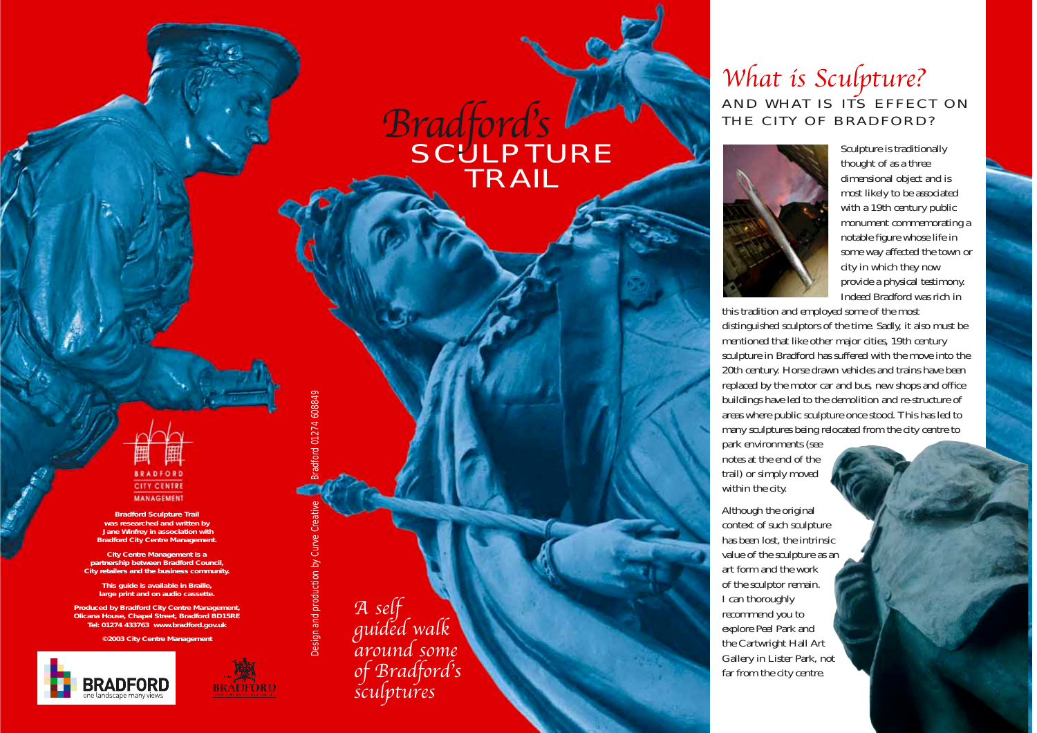# **SCULPTURE** TRAIL Bradford's

# **BRADFORD CITY CENTRE MANAGEMENT**

**Bradford Sculpture Trail was researched and written by Jane Winfrey in association with Bradford City Centre Management.**

**City Centre Management is a partnership between Bradford Council, City retailers and the business community.**

**This guide is available in Braille, large print and on audio cassette.**

**Produced by Bradford City Centre Management, Olicana House, Chapel Street, Bradford BD15RE Tel: 01274 433763 www.bradford.gov.uk**

**©2003 City Centre Management**





Design and production by Curve Creative Bradford 01274 608849

Design and production by Cu

ford 01274 608849

<sup>A</sup> self guided walk around some of Bradford's sculptures What is Sculpture? AND WHAT IS ITS EFFECT ON THE CITY OF BRADFORD?



Sculpture is traditionally thought of as a three dimensional object and is most likely to be associated with a 19th century public monument commemorating a notable figure whose life in some way affected the town or city in which they now provide a physical testimony. Indeed Bradford was rich in

this tradition and employed some of the most distinguished sculptors of the time. Sadly, it also must be mentioned that like other major cities, 19th century sculpture in Bradford has suffered with the move into the 20th century. Horse drawn vehicles and trains have been replaced by the motor car and bus, new shops and office buildings have led to the demolition and re-structure of areas where public sculpture once stood. This has led to many sculptures being relocated from the city centre to

park environments (see notes at the end of the trail) or simply moved within the city.

Although the original context of such sculpture has been lost, the intrinsic value of the sculpture as an art form and the work of the sculptor remain. I can thoroughly recommend you to explore Peel Park and the Cartwright Hall Art Gallery in Lister Park, not far from the city centre.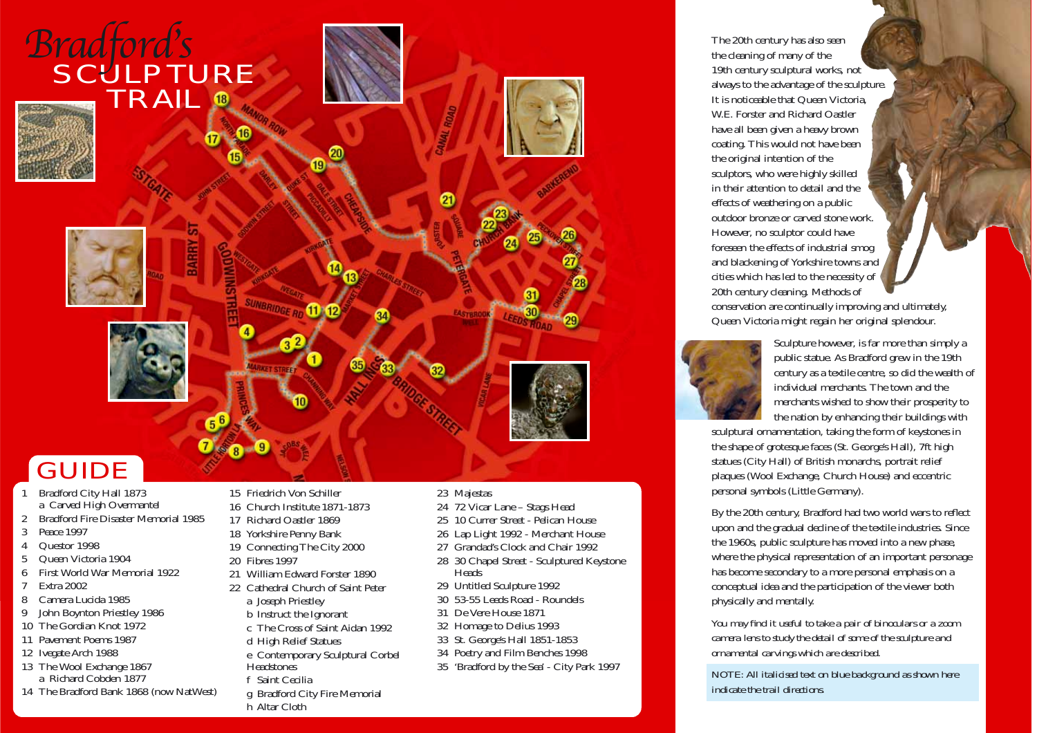

# **GUIDE**

- 1 Bradford City Hall 1873 <sup>a</sup> Carved High Overmantel
- 2 Bradford Fire Disaster Memorial 1985
- 3 Peace 1997
- 4 Questor 1998
- 5 Queen Victoria 1904
- 6 First World War Memorial 1922
- 7 Extra 2002
- 8 Camera Lucida 1985
- 9 John Boynton Priestley 1986
- 10 The Gordian Knot 1972
- 11 Pavement Poems 1987
- 12 Ivegate Arch 1988
- 13 The Wool Exchange 1867 <sup>a</sup> Richard Cobden 1877
- 14 The Bradford Bank 1868 (now NatWest)
- 15 Friedrich Von Schiller
- 16 Church Institute 1871-1873
- 17 Richard Oastler 1869
- 18 Yorkshire Penny Bank
- 19 Connecting The City 2000
- 20 Fibres 1997
- 21 William Edward Forster 1890
- 22 Cathedral Church of Saint Peter
	- <sup>a</sup> Joseph Priestley
	- b Instruct the Ignorant
	- <sup>c</sup> The Cross of Saint Aidan 1992
- d High Relief Statues
- <sup>e</sup> Contemporary Sculptural Corbel
- **Headstones**
- f Saint Cecilia
- g Bradford City Fire Memorial
- h Altar Cloth

### 23 Majestas

- 24 72 Vicar Lane Stags Head
- 25 10 Currer Street Pelican House
- 26 Lap Light 1992 Merchant House
- 27 Grandad's Clock and Chair 1992
- 28 30 Chapel Street Sculptured Keystone Heads
- 29 Untitled Sculpture 1992
- 30 53-55 Leeds Road Roundels
- 31 De Vere House 1871
- 32 Homage to Delius 1993
- 33 St. George's Hall 1851-1853
- 34 Poetry and Film Benches 1998
- 35 'Bradford by the Sea' City Park 1997

The 20th century has also seen the cleaning of many of the 19th century sculptural works, not always to the advantage of the sculpture. It is noticeable that Queen Victoria, W.E. Forster and Richard Oastler have all been given a heavy brown coating. This would not have been the original intention of the sculptors, who were highly skilled in their attention to detail and the effects of weathering on a public outdoor bronze or carved stone work. However, no sculptor could have foreseen the effects of industrial smog and blackening of Yorkshire towns and cities which has led to the necessity of 20th century cleaning. Methods of conservation are continually improving and ultimately, Queen Victoria might regain her original splendour.



Sculpture however, is far more than simply a public statue. As Bradford grew in the 19th century as a textile centre, so did the wealth of individual merchants. The town and the merchants wished to show their prosperity to the nation by enhancing their buildings with

sculptural ornamentation, taking the form of keystones in the shape of grotesque faces (St. George's Hall), 7ft high statues (City Hall) of British monarchs, portrait relief plaques (Wool Exchange, Church House) and eccentric personal symbols (Little Germany).

By the 20th century, Bradford had two world wars to reflect upon and the gradual decline of the textile industries. Since the 1960s, public sculpture has moved into a new phase, where the physical representation of an important personage has become secondary to a more personal emphasis on a conceptual idea and the participation of the viewer both physically and mentally.

*You may find it useful to take a pair of binoculars or a zoom camera lens to study the detail of some of the sculpture and ornamental carvings which are described.*

*NOTE: All italicised text on blue background as shown here indicate the trail directions.*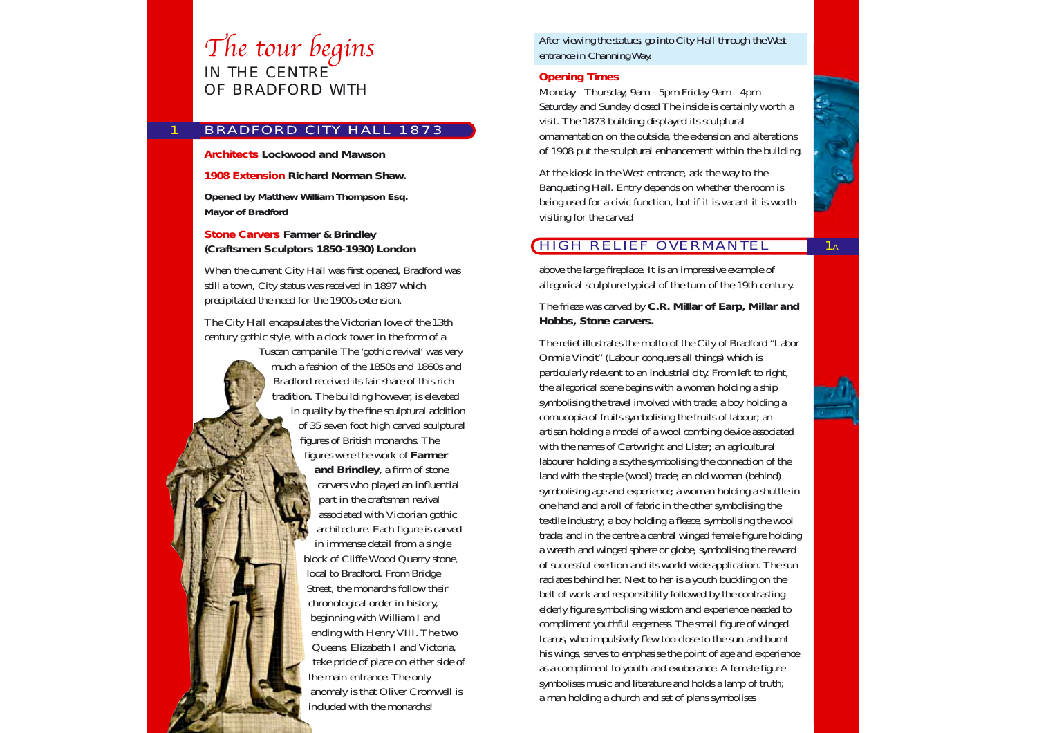# The tour begins IN THE CENTRE

OF BRADFORD WITH

1

# BRADFORD CITY HALL 1873

#### **Architects Lockwood and Mawson**

**1908 Extension Richard Norman Shaw.**

**Opened by Matthew William Thompson Esq. Mayor of Bradford**

**Stone Carvers Farmer & Brindley (Craftsmen Sculptors 1850-1930) London**

When the current City Hall was first opened, Bradford was still a town, City status was received in 1897 which precipitated the need for the 1900s extension.

The City Hall encapsulates the Victorian love of the 13th century gothic style, with a clock tower in the form of a

Tuscan campanile. The 'gothic revival' was very much a fashion of the 1850s and 1860s and Bradford received its fair share of this rich tradition. The building however, is elevated in quality by the fine sculptural addition of 35 seven foot high carved sculptural figures of British monarchs. The figures were the work of **Farmer and Brindley**, a firm of stone carvers who played an influential part in the craftsman revival associated with Victorian gothic architecture. Each figure is carved in immense detail from a single block of Cliffe Wood Quarry stone, local to Bradford. From Bridge Street, the monarchs follow their chronological order in history, beginning with William I and ending with Henry VIII. The two Queens, Elizabeth I and Victoria, take pride of place on either side of the main entrance. The only anomaly is that Oliver Cromwell is included with the monarchs!

*After viewing the statues, go into City Hall through the West entrance in Channing Way.*

### **Opening Times**

Monday - Thursday, 9am - 5pm Friday 9am - 4pm Saturday and Sunday closed The inside is certainly worth a visit. The 1873 building displayed its sculptural ornamentation on the outside, the extension and alterations of 1908 put the sculptural enhancement within the building.

At the kiosk in the West entrance, ask the way to the Banqueting Hall. Entry depends on whether the room is being used for a civic function, but if it is vacant it is worth visiting for the carved

# HIGH RELIEF OVERMANTEL

above the large fireplace. It is an impressive example of allegorical sculpture typical of the turn of the 19th century.

The frieze was carved by **C.R. MiIlar of Earp, Millar and Hobbs, Stone carvers.**

The relief illustrates the motto of the City of Bradford "Labor Omnia Vincit" (Labour conquers all things) which is particularly relevant to an industrial city. From left to right, the allegorical scene begins with a woman holding a ship symbolising the travel involved with trade; a boy holding a cornucopia of fruits symbolising the fruits of labour; an artisan holding a model of a wool combing device associated with the names of Cartwright and Lister; an agricultural labourer holding a scythe symbolising the connection of the land with the staple (wool) trade; an old woman (behind) symbolising age and experience; a woman holding a shuttle in one hand and a roll of fabric in the other symbolising the textile industry; a boy holding a fleece, symbolising the wool trade; and in the centre a central winged female figure holding a wreath and winged sphere or globe, symbolising the reward of successful exertion and its world-wide application. The sun radiates behind her. Next to her is a youth buckling on the belt of work and responsibility followed by the contrasting elderly figure symbolising wisdom and experience needed to compliment youthful eagerness. The small figure of winged Icarus, who impulsively flew too close to the sun and burnt his wings, serves to emphasise the point of age and experience as a compliment to youth and exuberance. A female figure symbolises music and literature and holds a lamp of truth; a man holding a church and set of plans symbolises



 $\overline{1_A}$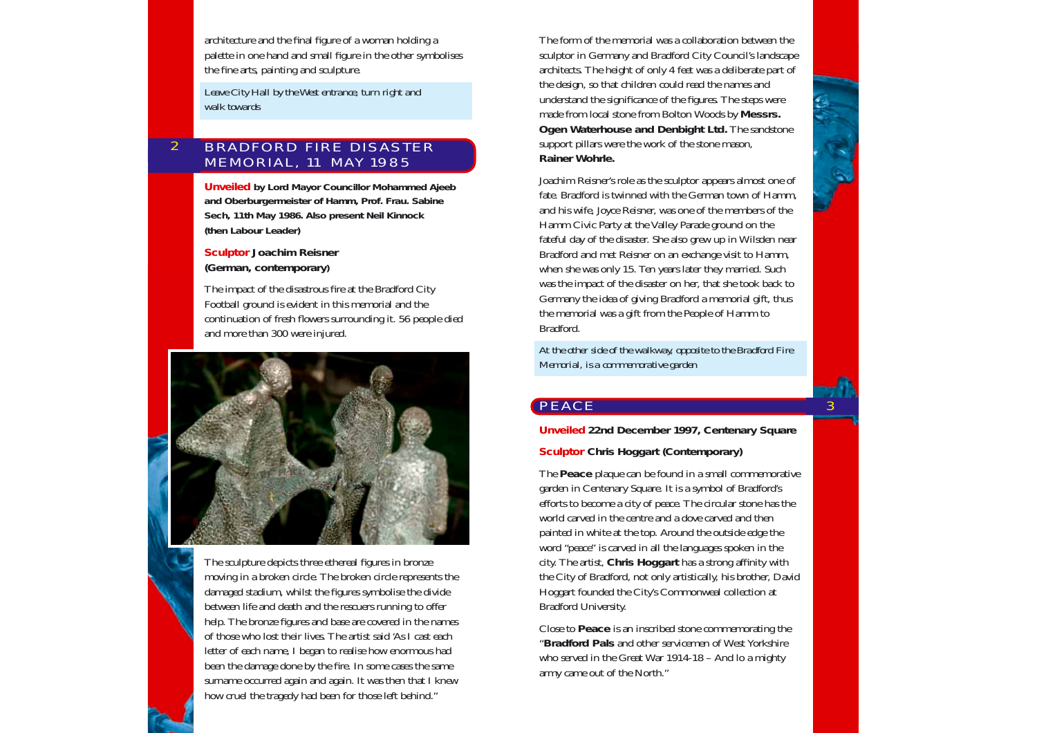architecture and the final figure of a woman holding a palette in one hand and small figure in the other symbolises the fine arts, painting and sculpture.

*Leave City Hall by the West entrance, turn right and walk towards*

#### BRADFORD FIRE DISASTER MEMORIAL, 11 MAY 1985 2

**Unveiled by Lord Mayor Councillor Mohammed Ajeeb and Oberburgermeister of Hamm, Prof. Frau. Sabine Sech, 11th May 1986. Also present Neil Kinnock (then Labour Leader)**

**Sculptor Joachim Reisner (German, contemporary)**

The impact of the disastrous fire at the Bradford City Football ground is evident in this memorial and the continuation of fresh flowers surrounding it. 56 people died and more than 300 were injured.



The sculpture depicts three ethereal figures in bronze moving in a broken circle. The broken circle represents the damaged stadium, whilst the figures symbolise the divide between life and death and the rescuers running to offer help. The bronze figures and base are covered in the names of those who lost their lives. The artist said 'As I cast each letter of each name, I began to realise how enormous had been the damage done by the fire. In some cases the same surname occurred again and again. It was then that I knew how cruel the tragedy had been for those left behind."

The form of the memorial was a collaboration between the sculptor in Germany and Bradford City Council's landscape architects. The height of only 4 feet was a deliberate part of the design, so that children could read the names and understand the significance of the figures. The steps were made from local stone from Bolton Woods by **Messrs. Ogen Waterhouse and Denbight Ltd.** The sandstone support pillars were the work of the stone mason, **Rainer Wohrle.**

Joachim Reisner's role as the sculptor appears almost one of fate. Bradford is twinned with the German town of Hamm, and his wife, Joyce Reisner, was one of the members of the Hamm Civic Party at the Valley Parade ground on the fateful day of the disaster. She also grew up in Wilsden near Bradford and met Reisner on an exchange visit to Hamm, when she was only 15. Ten years later they married. Such was the impact of the disaster on her, that she took back to Germany the idea of giving Bradford a memorial gift, thus the memorial was a gift from the People of Hamm to Bradford.

*At the other side of the walkway, opposite to the Bradford Fire Memorial, is a commemorative garden*

## **PEACE**

**Unveiled 22nd December 1997, Centenary Square**

**3** 

**Sculptor Chris Hoggart (Contemporary)**

The **Peace** plaque can be found in a small commemorative garden in Centenary Square. It is a symbol of Bradford's efforts to become a city of peace. The circular stone has the world carved in the centre and a dove carved and then painted in white at the top. Around the outside edge the word "peace" is carved in all the languages spoken in the city. The artist, **Chris Hoggart** has a strong affinity with the City of Bradford, not only artistically, his brother, David Hoggart founded the City's Commonweal collection at Bradford University.

Close to **Peace** is an inscribed stone commemorating the "**Bradford Pals** and other servicemen of West Yorkshire who served in the Great War 1914-18 – And lo a mighty army came out of the North."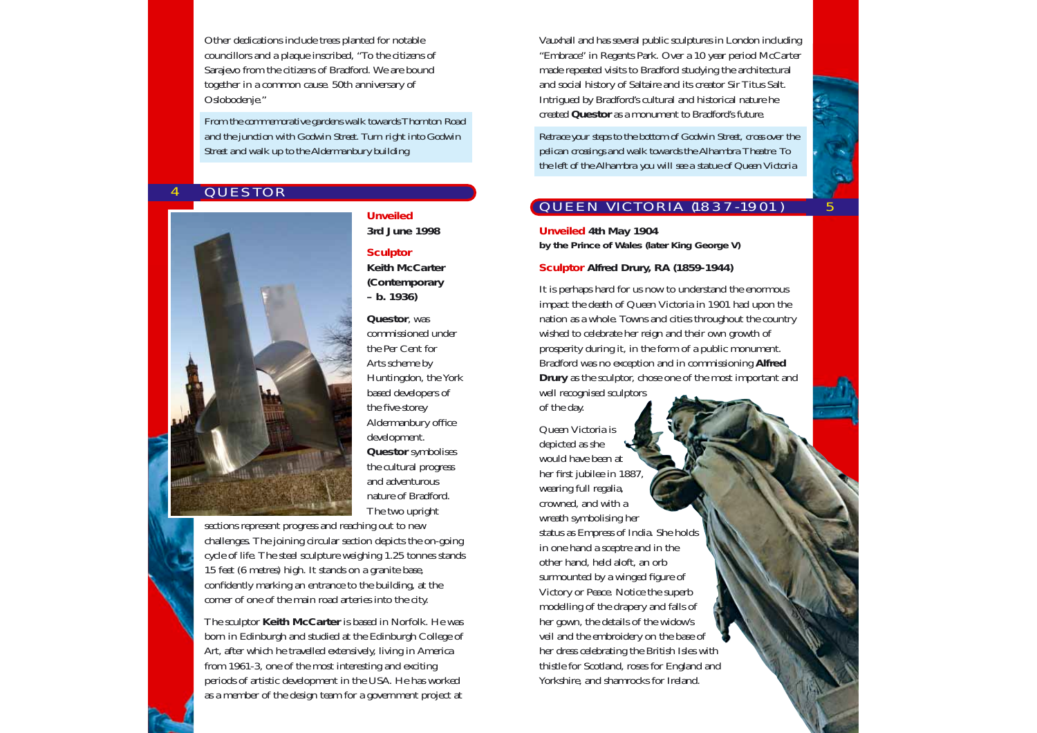Other dedications include trees planted for notable councillors and a plaque inscribed, "To the citizens of Sarajevo from the citizens of Bradford. We are bound together in a common cause. 50th anniversary of Oslobodenje."

*From the commemorative gardens walk towards Thornton Road and the junction with Godwin Street. Turn right into Godwin Street and walk up to the Aldermanbury building*

#### **QUESTOR** 4



### **Unveiled**

**3rd June 1998**

#### **Sculptor**

**Keith McCarter (Contemporary – b. 1936)**

**Questor**, was commissioned under the Per Cent for Arts scheme by Huntingdon, the York based developers of the five-storey Aldermanbury office development. **Questor** symbolises the cultural progress and adventurous nature of Bradford. The two upright

sections represent progress and reaching out to new challenges. The joining circular section depicts the on-going cycle of life. The steel sculpture weighing 1.25 tonnes stands 15 feet (6 metres) high. It stands on a granite base, confidently marking an entrance to the building, at the corner of one of the main road arteries into the city.

The sculptor **Keith McCarter** is based in Norfolk. He was born in Edinburgh and studied at the Edinburgh College of Art, after which he travelled extensively, living in America from 1961-3, one of the most interesting and exciting periods of artistic development in the USA. He has worked as a member of the design team for a government project at

Vauxhall and has several public sculptures in London including "Embrace" in Regents Park. Over a 10 year period McCarter made repeated visits to Bradford studying the architectural and social history of Saltaire and its creator Sir Titus Salt. Intrigued by Bradford's cultural and historical nature he created **Questor** as a monument to Bradford's future.

*Retrace your steps to the bottom of Godwin Street, cross over the pelican crossings and walk towards the Alhambra Theatre. To the left of the Alhambra you will see a statue of Queen Victoria*

# QUEEN VICTORIA (1837-1901)

5

**Unveiled 4th May 1904 by the Prince of Wales (later King George V)**

### **Sculptor Alfred Drury, RA (1859-1944)**

It is perhaps hard for us now to understand the enormous impact the death of Queen Victoria in 1901 had upon the nation as a whole. Towns and cities throughout the country wished to celebrate her reign and their own growth of prosperity during it, in the form of a public monument. Bradford was no exception and in commissioning **Alfred Drury** as the sculptor, chose one of the most important and well recognised sculptors

of the day. Queen Victoria is depicted as she would have been at her first jubilee in 1887, wearing full regalia, crowned, and with a wreath symbolising her status as Empress of India. She holds in one hand a sceptre and in the other hand, held aloft, an orb surmounted by a winged figure of Victory or Peace. Notice the superb modelling of the drapery and falls of her gown, the details of the widow's veil and the embroidery on the base of her dress celebrating the British Isles with thistle for Scotland, roses for England and Yorkshire, and shamrocks for Ireland.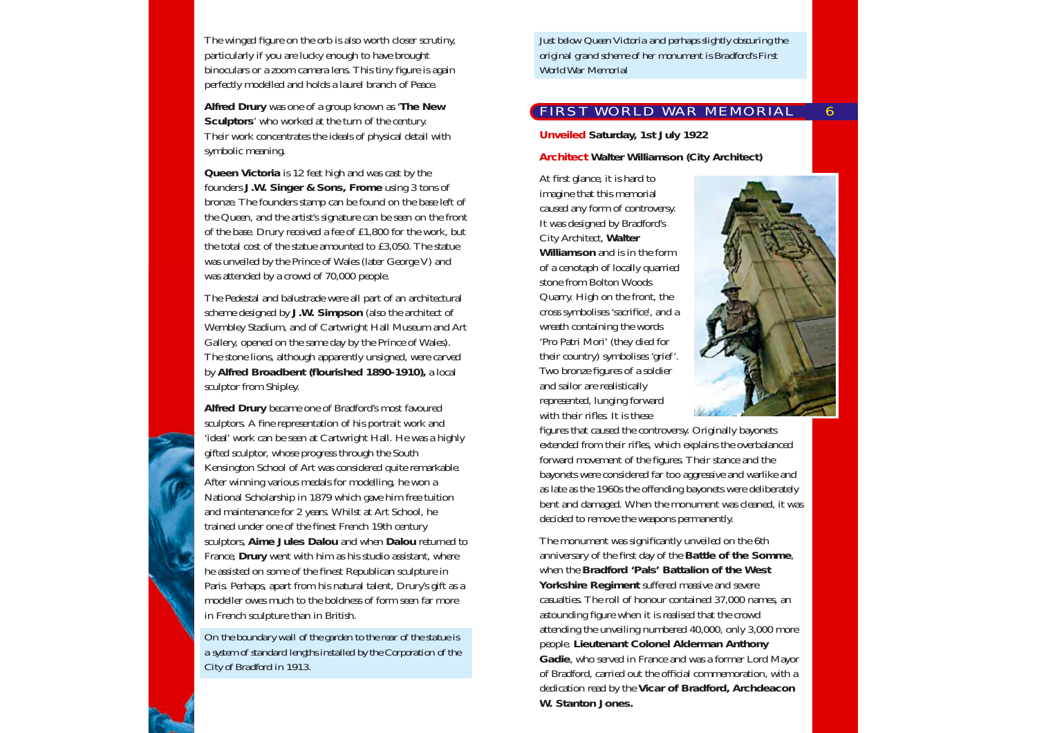The winged figure on the orb is also worth closer scrutiny, particularly if you are lucky enough to have brought binoculars or a zoom camera lens. This tiny figure is again perfectly modelled and holds a laurel branch of Peace.

**Alfred Drury** was one of a group known as '**The New Sculptors**' who worked at the turn of the century. Their work concentrates the ideals of physical detail with symbolic meaning.

**Queen Victoria** is 12 feet high and was cast by the founders **J.W. Singer & Sons, Frome** using 3 tons of bronze. The founders stamp can be found on the base left of the Queen, and the artist's signature can be seen on the front of the base. Drury received a fee of £1,800 for the work, but the total cost of the statue amounted to £3,050. The statue was unveiled by the Prince of Wales (later George V) and was attended by a crowd of 70,000 people.

The Pedestal and balustrade were all part of an architectural scheme designed by **J.W. Simpson** (also the architect of Wembley Stadium, and of Cartwright Hall Museum and Art Gallery, opened on the same day by the Prince of Wales). The stone lions, although apparently unsigned, were carved by **Alfred Broadbent (flourished 1890-1910),** a local sculptor from Shipley.

**Alfred Drury** became one of Bradford's most favoured sculptors. A fine representation of his portrait work and 'ideal' work can be seen at Cartwright Hall. He was a highly gifted sculptor, whose progress through the South Kensington School of Art was considered quite remarkable. After winning various medals for modelling, he won a National Scholarship in 1879 which gave him free tuition and maintenance for 2 years. Whilst at Art School, he trained under one of the finest French 19th century sculptors, **Aime Jules Dalou** and when **Dalou** returned to France, **Drury** went with him as his studio assistant, where he assisted on some of the finest Republican sculpture in Paris. Perhaps, apart from his natural talent, Drury's gift as a modeller owes much to the boldness of form seen far more in French sculpture than in British.

*On the boundary wall of the garden to the rear of the statue is a system of standard lengths installed by the Corporation of the City of Bradford in 1913.*

*Just below Queen Victoria and perhaps slightly obscuring the original grand scheme of her monument is Bradford's First World War Memorial*

# FIRST WORLD WAR MEMORIAL

**Unveiled Saturday, 1st July 1922**

**Architect Walter Williamson (City Architect)**

At first glance, it is hard to imagine that this memorial caused any form of controversy. It was designed by Bradford's City Architect, **Walter Williamson** and is in the form of a cenotaph of locally quarried stone from Bolton Woods Quarry. High on the front, the cross symbolises 'sacrifice', and a wreath containing the words 'Pro Patri Mori' (they died for their country) symbolises 'grief'. Two bronze figures of a soldier and sailor are realistically represented, lunging forward with their rifles. It is these



6

figures that caused the controversy. Originally bayonets extended from their rifles, which explains the overbalanced forward movement of the figures. Their stance and the bayonets were considered far too aggressive and warlike and as late as the 1960s the offending bayonets were deliberately bent and damaged. When the monument was cleaned, it was decided to remove the weapons permanently.

The monument was significantly unveiled on the 6th anniversary of the first day of the **Battle of the Somme**, when the **Bradford 'Pals' Battalion of the West Yorkshire Regiment** suffered massive and severe casualties. The roll of honour contained 37,000 names, an astounding figure when it is realised that the crowd attending the unveiling numbered 40,000, only 3,000 more people. **Lieutenant Colonel Alderman Anthony Gadie**, who served in France and was a former Lord Mayor of Bradford, carried out the official commemoration, with a dedication read by the **Vicar of Bradford, Archdeacon W. Stanton Jones.**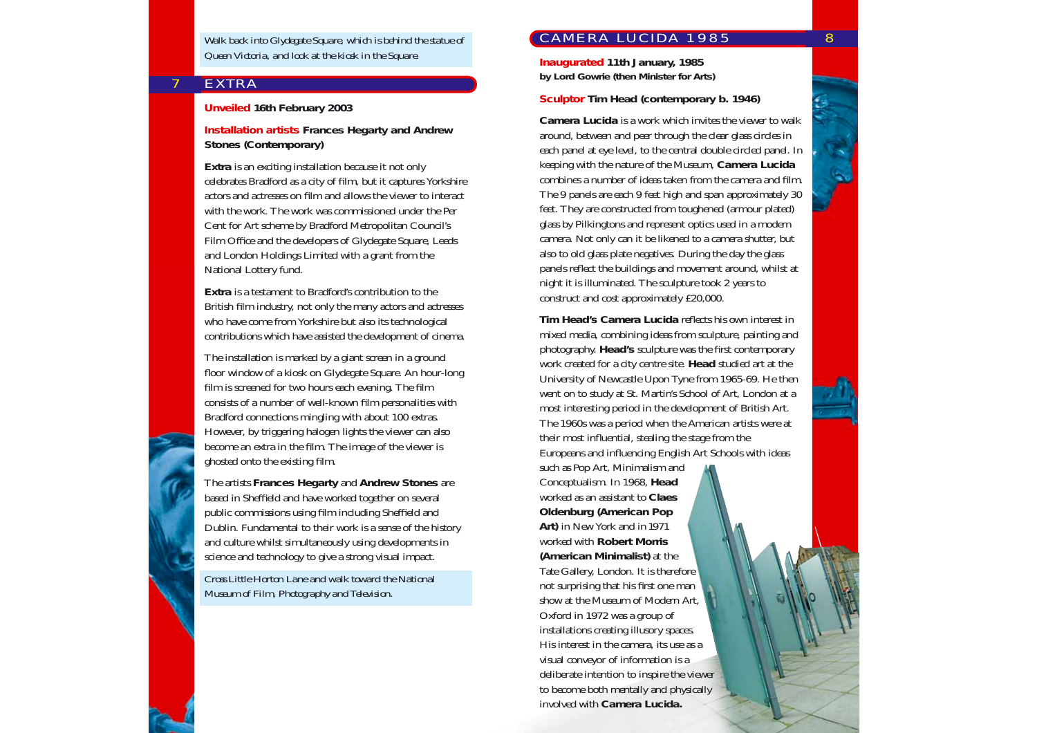*Walk back into Glydegate Square, which is behind the statue of Queen Victoria, and look at the kiosk in the Square.*

### **EXTRA**

7

#### **Unveiled 16th February 2003**

**Installation artists Frances Hegarty and Andrew Stones (Contemporary)**

**Extra** is an exciting installation because it not only celebrates Bradford as a city of film, but it captures Yorkshire actors and actresses on film and allows the viewer to interact with the work. The work was commissioned under the Per Cent for Art scheme by Bradford Metropolitan Council's Film Office and the developers of Glydegate Square, Leeds and London Holdings Limited with a grant from the National Lottery fund.

**Extra** is a testament to Bradford's contribution to the British film industry, not only the many actors and actresses who have come from Yorkshire but also its technological contributions which have assisted the development of cinema.

The installation is marked by a giant screen in a ground floor window of a kiosk on Glydegate Square. An hour-long film is screened for two hours each evening. The film consists of a number of well-known film personalities with Bradford connections mingling with about 100 extras. However, by triggering halogen lights the viewer can also become an extra in the film. The image of the viewer is ghosted onto the existing film.

The artists **Frances Hegarty** and **Andrew Stones** are based in Sheffield and have worked together on several public commissions using film including Sheffield and Dublin. Fundamental to their work is a sense of the history and culture whilst simultaneously using developments in science and technology to give a strong visual impact.

*Cross Little Horton Lane and walk toward the National Museum of Film, Photography and Television.*

# CAMERA LUCIDA 1985 8

**Inaugurated 11th January, 1985 by Lord Gowrie (then Minister for Arts)**

#### **Sculptor Tim Head (contemporary b. 1946)**

**Camera Lucida** is a work which invites the viewer to walk around, between and peer through the clear glass circles in each panel at eye level, to the central double circled panel. In keeping with the nature of the Museum, **Camera Lucida** combines a number of ideas taken from the camera and film. The 9 panels are each 9 feet high and span approximately 30 feet. They are constructed from toughened (armour plated) glass by Pilkingtons and represent optics used in a modern camera. Not only can it be likened to a camera shutter, but also to old glass plate negatives. During the day the glass panels reflect the buildings and movement around, whilst at night it is illuminated. The sculpture took 2 years to construct and cost approximately £20,000.

**Tim Head's Camera Lucida** reflects his own interest in mixed media, combining ideas from sculpture, painting and photography. **Head's** sculpture was the first contemporary work created for a city centre site. **Head** studied art at the University of Newcastle Upon Tyne from 1965-69. He then went on to study at St. Martin's School of Art, London at a most interesting period in the development of British Art. The 1960s was a period when the American artists were at their most influential, stealing the stage from the Europeans and influencing English Art Schools with ideas

such as Pop Art, Minimalism and Conceptualism. In 1968, **Head** worked as an assistant to **Claes Oldenburg (American Pop Art)** in New York and in 1971 worked with **Robert Morris (American Minimalist)** at the Tate Gallery, London. It is therefore not surprising that his first one man show at the Museum of Modern Art, Oxford in 1972 was a group of installations creating illusory spaces. His interest in the camera, its use as a visual conveyor of information is a deliberate intention to inspire the viewer to become both mentally and physically involved with **Camera Lucida.**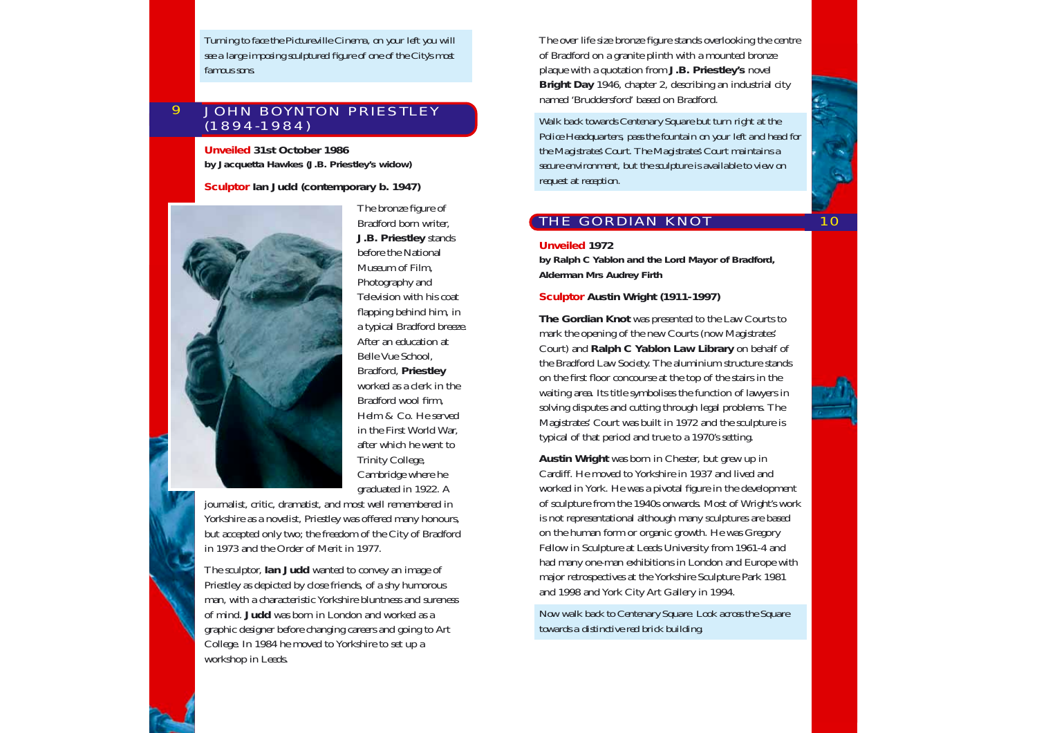*Turning to face the Pictureville Cinema, on your left you will see a large imposing sculptured figure of one of the City's most famous sons.*

#### JOHN BOYNTON PRIESTLEY (1894-1984)  $\overline{Q}$

**Unveiled 31st October 1986 by Jacquetta Hawkes (J.B. Priestley's widow)**

### **Sculptor Ian Judd (contemporary b. 1947)**



The bronze figure of Bradford born writer, **J.B. Priestley** stands before the National Museum of Film, Photography and Television with his coat flapping behind him, in a typical Bradford breeze. After an education at Belle Vue School, Bradford, **Priestley** worked as a clerk in the Bradford wool firm, Helm & Co. He served in the First World War, after which he went to Trinity College, Cambridge where he graduated in 1922. A

journalist, critic, dramatist, and most well remembered in Yorkshire as a novelist, Priestley was offered many honours, but accepted only two; the freedom of the City of Bradford in 1973 and the Order of Merit in 1977.

The sculptor, **Ian Judd** wanted to convey an image of Priestley as depicted by close friends, of a shy humorous man, with a characteristic Yorkshire bluntness and sureness of mind. **Judd** was born in London and worked as a graphic designer before changing careers and going to Art College. In 1984 he moved to Yorkshire to set up a workshop in Leeds.

The over life size bronze figure stands overlooking the centre of Bradford on a granite plinth with a mounted bronze plaque with a quotation from **J.B. Priestley's** novel **Bright Day** 1946, chapter 2, describing an industrial city named 'Bruddersford' based on Bradford.

*Walk back towards Centenary Square but turn right at the Police Headquarters, pass the fountain on your left and head for the Magistrates' Court. The Magistrates' Court maintains a secure environment, but the sculpture is available to view on request at reception.*

# THE GORDIAN KNOT

10

#### **Unveiled 1972**

**by Ralph C Yablon and the Lord Mayor of Bradford, Alderman Mrs Audrey Firth**

### **Sculptor Austin Wright (1911-1997)**

**The Gordian Knot** was presented to the Law Courts to mark the opening of the new Courts (now Magistrates' Court) and **Ralph C Yablon Law Library** on behalf of the Bradford Law Society. The aluminium structure stands on the first floor concourse at the top of the stairs in the waiting area. Its title symbolises the function of lawyers in solving disputes and cutting through legal problems. The Magistrates' Court was built in 1972 and the sculpture is typical of that period and true to a 1970's setting.

**Austin Wright** was born in Chester, but grew up in Cardiff. He moved to Yorkshire in 1937 and lived and worked in York. He was a pivotal figure in the development of sculpture from the 1940s onwards. Most of Wright's work is not representational although many sculptures are based on the human form or organic growth. He was Gregory Fellow in Sculpture at Leeds University from 1961-4 and had many one-man exhibitions in London and Europe with major retrospectives at the Yorkshire Sculpture Park 1981 and 1998 and York City Art Gallery in 1994.

*Now walk back to Centenary Square. Look across the Square towards a distinctive red brick building.*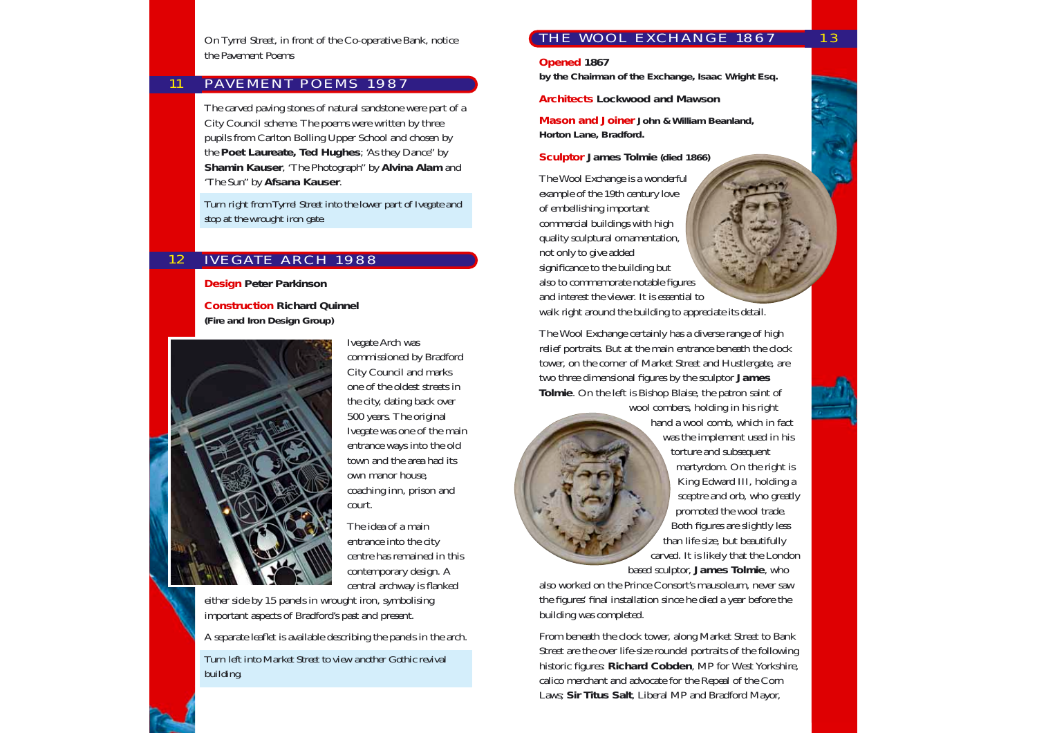On Tyrrel Street, in front of the Co-operative Bank, notice the Pavement Poems

#### 11 PAVEMENT POEMS 1987

The carved paving stones of natural sandstone were part of a City Council scheme. The poems were written by three pupils from Carlton Bolling Upper School and chosen by the **Poet Laureate, Ted Hughes**; 'As they Dance" by **Shamin Kauser**, 'The Photograph" by **Alvina Alam** and 'The Sun" by **Afsana Kauser**.

*Turn right from Tyrrel Street into the lower part of Ivegate and stop at the wrought iron gate.*

#### 12 IVEGATE ARCH 1988

**Design Peter Parkinson**

**Construction Richard Quinnel (Fire and Iron Design Group)**



Ivegate Arch was commissioned by Bradford City Council and marks one of the oldest streets in the city, dating back over 500 years. The original Ivegate was one of the main entrance ways into the old town and the area had its own manor house, coaching inn, prison and court.

The idea of a main entrance into the city centre has remained in this contemporary design. A central archway is flanked

either side by 15 panels in wrought iron, symbolising important aspects of Bradford's past and present.

A separate leaflet is available describing the panels in the arch.

*Turn left into Market Street to view another Gothic revival building.*

## THE WOOL EXCHANGE 1867

**Opened 1867** 

**by the Chairman of the Exchange, Isaac Wright Esq.**

**Architects Lockwood and Mawson** 

**Mason and Joiner John & William Beanland, Horton Lane, Bradford.**

**Sculptor James Tolmie (died 1866)**

The Wool Exchange is a wonderful example of the 19th century love of embellishing important commercial buildings with high quality sculptural ornamentation, not only to give added significance to the building but also to commemorate notable figures and interest the viewer. It is essential to walk right around the building to appreciate its detail.

The Wool Exchange certainly has a diverse range of high relief portraits. But at the main entrance beneath the clock tower, on the corner of Market Street and Hustlergate, are two three dimensional figures by the sculptor **James Tolmie**. On the left is Bishop Blaise, the patron saint of wool combers, holding in his right



hand a wool comb, which in fact was the implement used in his torture and subsequent martyrdom. On the right is King Edward III, holding a sceptre and orb, who greatly promoted the wool trade. Both figures are slightly less than life size, but beautifully carved. It is likely that the London based sculptor, **James Tolmie**, who

also worked on the Prince Consort's mausoleum, never saw the figures' final installation since he died a year before the building was completed.

From beneath the clock tower, along Market Street to Bank Street are the over life-size roundel portraits of the following historic figures: **Richard Cobden**, MP for West Yorkshire, calico merchant and advocate for the Repeal of the Corn Laws; **Sir Titus Salt**, Liberal MP and Bradford Mayor,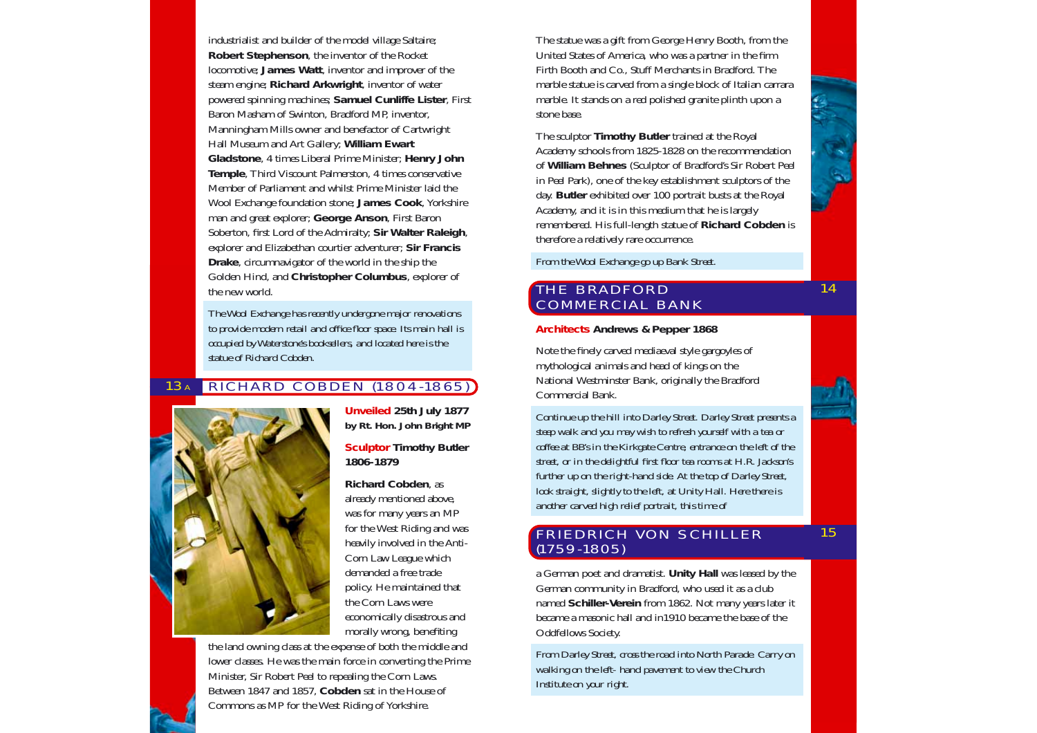industrialist and builder of the model village Saltaire; **Robert Stephenson**, the inventor of the Rocket locomotive; **James Watt**, inventor and improver of the steam engine; **Richard Arkwright**, inventor of water powered spinning machines; **Samuel Cunliffe Lister**, First Baron Masham of Swinton, Bradford MP, inventor, Manningham Mills owner and benefactor of Cartwright Hall Museum and Art Gallery; **William Ewart Gladstone**, 4 times Liberal Prime Minister; **Henry John Temple**, Third Viscount Palmerston, 4 times conservative Member of Parliament and whilst Prime Minister laid the Wool Exchange foundation stone; **James Cook**, Yorkshire man and great explorer; **George Anson**, First Baron Soberton, first Lord of the Admiralty; **Sir Walter Raleigh**, explorer and Elizabethan courtier adventurer; **Sir Francis Drake**, circumnavigator of the world in the ship the Golden Hind, and **Christopher Columbus**, explorer of the new world.

*The Wool Exchange has recently undergone major renovations to provide modern retail and office floor space. Its main hall is occupied by Waterstone's booksellers, and located here is the statue of Richard Cobden.*

#### RICHARD COBDEN (1804-1865) 13A



**Unveiled 25th July 1877 by Rt. Hon. John Bright MP**

### **Sculptor Timothy Butler 1806-1879**

**Richard Cobden**, as already mentioned above, was for many years an MP for the West Riding and was heavily involved in the Anti-Corn Law League which demanded a free trade policy. He maintained that the Corn Laws were economically disastrous and morally wrong, benefiting

the land owning class at the expense of both the middle and lower classes. He was the main force in converting the Prime Minister, Sir Robert Peel to repealing the Corn Laws. Between 1847 and 1857, **Cobden** sat in the House of Commons as MP for the West Riding of Yorkshire.

The statue was a gift from George Henry Booth, from the United States of America, who was a partner in the firm Firth Booth and Co., Stuff Merchants in Bradford. The marble statue is carved from a single block of Italian carrara marble. It stands on a red polished granite plinth upon a stone base.

The sculptor **Timothy Butler** trained at the Royal Academy schools from 1825-1828 on the recommendation of **William Behnes** (Sculptor of Bradford's Sir Robert Peel in Peel Park), one of the key establishment sculptors of the day. **Butler** exhibited over 100 portrait busts at the Royal Academy, and it is in this medium that he is largely remembered. His full-length statue of **Richard Cobden** is therefore a relatively rare occurrence.

*From the Wool Exchange go up Bank Street.*

# THE BRADFORD COMMERCIAL BANK

#### **Architects Andrews & Pepper 1868**

Note the finely carved mediaeval style gargoyles of mythological animals and head of kings on the National Westminster Bank, originally the Bradford Commercial Bank.

*Continue up the hill into Darley Street. Darley Street presents a steep walk and you may wish to refresh yourself with a tea or coffee at BB's in the Kirkgate Centre, entrance on the left of the street, or in the delightful first floor tea rooms at H.R. Jackson's further up on the right-hand side. At the top of Darley Street, look straight, slightly to the left, at Unity Hall. Here there is another carved high relief portrait, this time of* 

### FRIEDRICH VON SCHILLER (1759-1805)

a German poet and dramatist. **Unity Hall** was leased by the German community in Bradford, who used it as a club named **Schiller-Verein** from 1862. Not many years later it became a masonic hall and in1910 became the base of the Oddfellows Society.

*From Darley Street, cross the road into North Parade. Carry on walking on the left- hand pavement to view the Church Institute on your right.*

15

14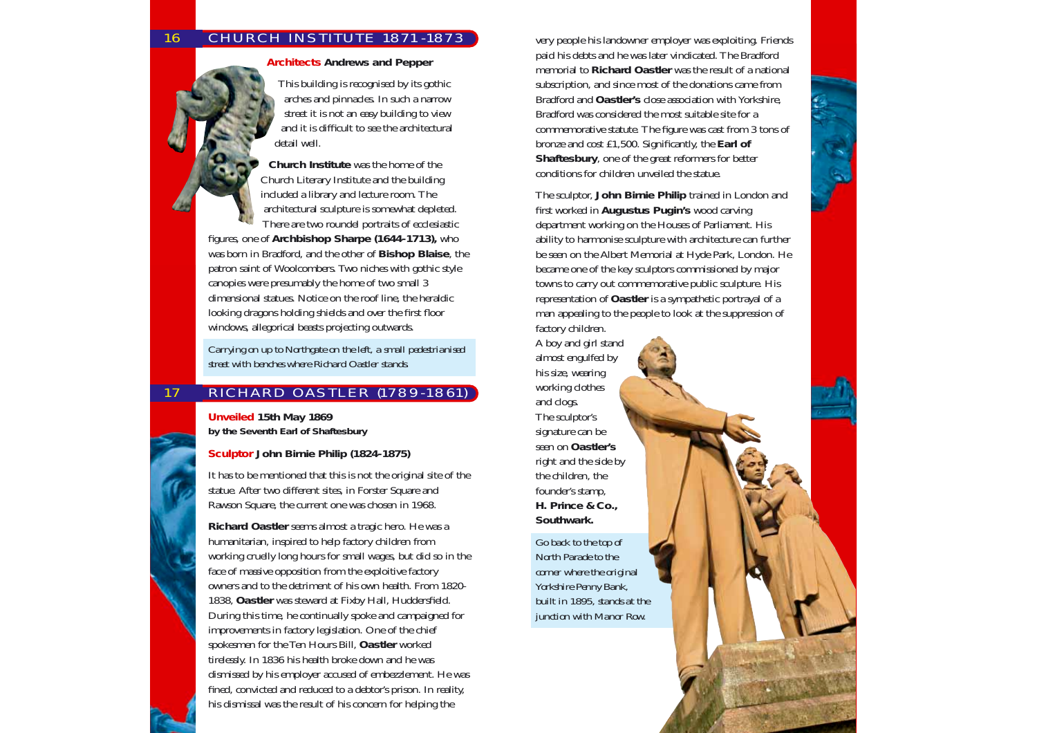# CHURCH INSTITUTE 1871-1873

**Architects Andrews and Pepper**

This building is recognised by its gothic arches and pinnacles. In such a narrow street it is not an easy building to view and it is difficult to see the architectural detail well.

**Church Institute** was the home of the Church Literary Institute and the building included a library and lecture room. The architectural sculpture is somewhat depleted. There are two roundel portraits of ecclesiastic

figures, one of **Archbishop Sharpe (1644-1713),** who was born in Bradford, and the other of **Bishop Blaise**, the patron saint of Woolcombers. Two niches with gothic style canopies were presumably the home of two small 3 dimensional statues. Notice on the roof line, the heraldic looking dragons holding shields and over the first floor windows, allegorical beasts projecting outwards.

*Carrying on up to Northgate on the left, a small pedestrianised street with benches where Richard Oastler stands.*

# RICHARD OASTLER (1789-1861)

**Unveiled 15th May 1869 by the Seventh Earl of Shaftesbury**

**Sculptor John Birnie Philip (1824-1875)**

It has to be mentioned that this is not the original site of the statue. After two different sites, in Forster Square and Rawson Square, the current one was chosen in 1968.

**Richard Oastler** seems almost a tragic hero. He was a humanitarian, inspired to help factory children from working cruelly long hours for small wages, but did so in the face of massive opposition from the exploitive factory owners and to the detriment of his own health. From 1820- 1838, **Oastler** was steward at Fixby Hall, Huddersfield. During this time, he continually spoke and campaigned for improvements in factory legislation. One of the chief spokesmen for the Ten Hours Bill, **Oastler** worked tirelessly. In 1836 his health broke down and he was dismissed by his employer accused of embezzlement. He was fined, convicted and reduced to a debtor's prison. In reality, his dismissal was the result of his concern for helping the

very people his landowner employer was exploiting. Friends paid his debts and he was later vindicated. The Bradford memorial to **Richard Oastler** was the result of a national subscription, and since most of the donations came from Bradford and **Oastler's** close association with Yorkshire, Bradford was considered the most suitable site for a commemorative statute. The figure was cast from 3 tons of bronze and cost £1,500. Significantly, the **Earl of Shaftesbury**, one of the great reformers for better conditions for children unveiled the statue.

The sculptor, **John Birnie Philip** trained in London and first worked in **Augustus Pugin's** wood carving department working on the Houses of Parliament. His ability to harmonise sculpture with architecture can further be seen on the Albert Memorial at Hyde Park, London. He became one of the key sculptors commissioned by major towns to carry out commemorative public sculpture. His representation of **Oastler** is a sympathetic portrayal of a man appealing to the people to look at the suppression of factory children.

A boy and girl stand almost engulfed by his size, wearing working clothes and clogs. The sculptor's signature can be seen on **Oastler's** right and the side by the children, the founder's stamp, **H. Prince & Co., Southwark.**

*Go back to the top of North Parade to the corner where the original Yorkshire Penny Bank, built in 1895, stands at the junction with Manor Row.*

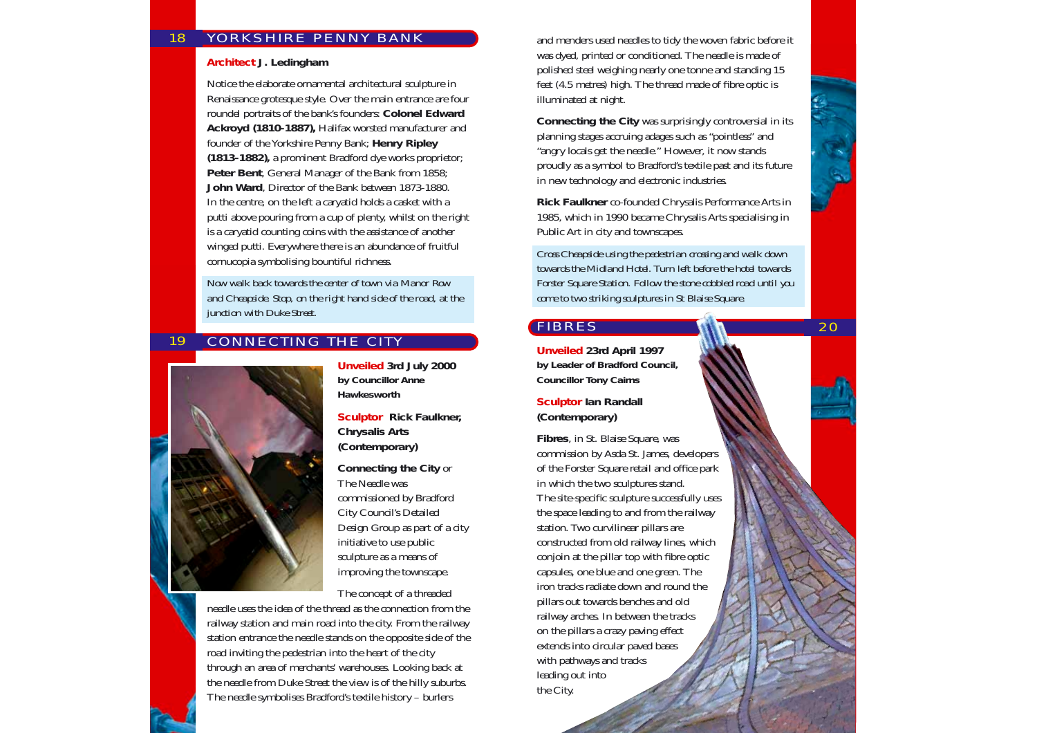#### YORKSHIRE PENNY BANK 18

#### **Architect J. Ledingham**

Notice the elaborate ornamental architectural sculpture in Renaissance grotesque style. Over the main entrance are four roundel portraits of the bank's founders: **Colonel Edward Ackroyd (1810-1887),** Halifax worsted manufacturer and founder of the Yorkshire Penny Bank; **Henry Ripley (1813-1882),** a prominent Bradford dye works proprietor; **Peter Bent**, General Manager of the Bank from 1858; **John Ward**, Director of the Bank between 1873-1880. In the centre, on the left a caryatid holds a casket with a putti above pouring from a cup of plenty, whilst on the right is a caryatid counting coins with the assistance of another winged putti. Everywhere there is an abundance of fruitful cornucopia symbolising bountiful richness.

*Now walk back towards the center of town via Manor Row and Cheapside. Stop, on the right hand side of the road, at the junction with Duke Street.*

#### 19 CONNECTING THE CITY



**Unveiled 3rd July 2000 by Councillor Anne Hawkesworth**

**Sculptor Rick Faulkner, Chrysalis Arts (Contemporary)**

**Connecting the City** or The Needle was commissioned by Bradford City Council's Detailed Design Group as part of a city initiative to use public sculpture as a means of improving the townscape.

The concept of a threaded

needle uses the idea of the thread as the connection from the railway station and main road into the city. From the railway station entrance the needle stands on the opposite side of the road inviting the pedestrian into the heart of the city through an area of merchants' warehouses. Looking back at the needle from Duke Street the view is of the hilly suburbs. The needle symbolises Bradford's textile history – burlers

and menders used needles to tidy the woven fabric before it was dyed, printed or conditioned. The needle is made of polished steel weighing nearly one tonne and standing 15 feet (4.5 metres) high. The thread made of fibre optic is illuminated at night.

**Connecting the City** was surprisingly controversial in its planning stages accruing adages such as "pointless" and "angry locals get the needle." However, it now stands proudly as a symbol to Bradford's textile past and its future in new technology and electronic industries.

**Rick Faulkner** co-founded Chrysalis Performance Arts in 1985, which in 1990 became Chrysalis Arts specialising in Public Art in city and townscapes.

*Cross Cheapside using the pedestrian crossing and walk down towards the Midland Hotel. Turn left before the hotel towards Forster Square Station. Follow the stone cobbled road until you come to two striking sculptures in St Blaise Square.* 

20

# FIBRES

**Unveiled 23rd April 1997 by Leader of Bradford Council, Councillor Tony Cairns**

**Sculptor Ian Randall (Contemporary)**

**Fibres**, in St. Blaise Square, was commission by Asda St. James, developers of the Forster Square retail and office park in which the two sculptures stand. The site-specific sculpture successfully uses the space leading to and from the railway station. Two curvilinear pillars are constructed from old railway lines, which conjoin at the pillar top with fibre optic capsules, one blue and one green. The iron tracks radiate down and round the pillars out towards benches and old railway arches. In between the tracks on the pillars a crazy paving effect extends into circular paved bases with pathways and tracks leading out into the City.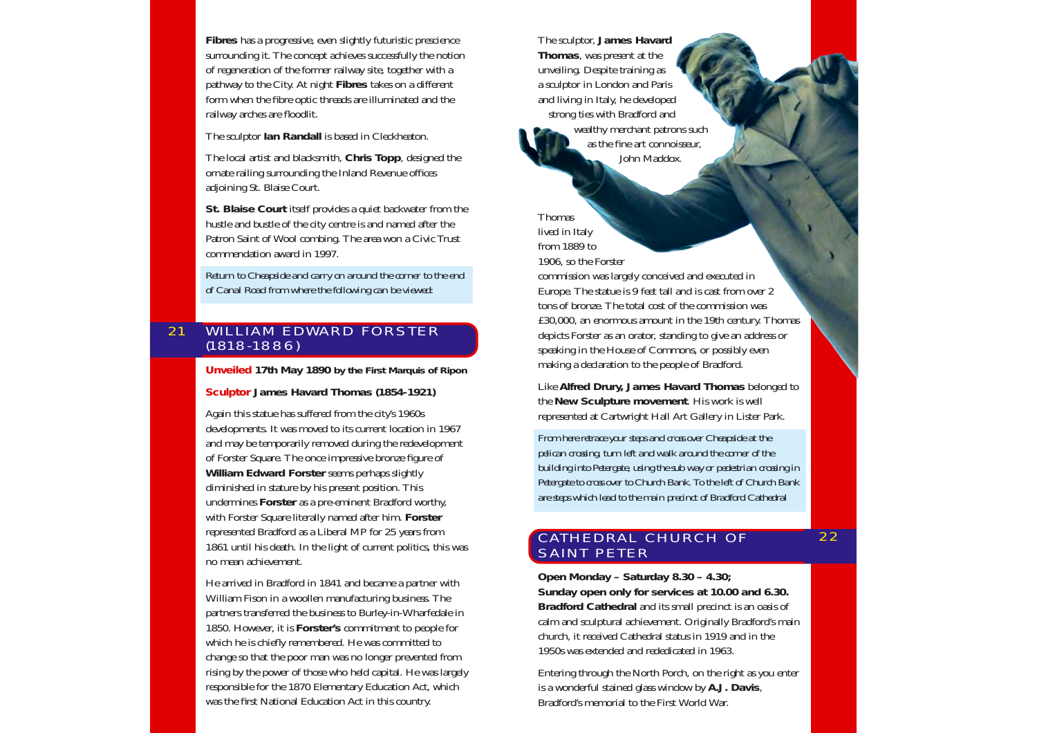**Fibres** has a progressive, even slightly futuristic prescience surrounding it. The concept achieves successfully the notion of regeneration of the former railway site, together with a pathway to the City. At night **Fibres** takes on a different form when the fibre optic threads are illuminated and the railway arches are floodlit.

The sculptor **Ian Randall** is based in Cleckheaton.

The local artist and blacksmith, **Chris Topp**, designed the ornate railing surrounding the Inland Revenue offices adjoining St. Blaise Court.

**St. Blaise Court** itself provides a quiet backwater from the hustle and bustle of the city centre is and named after the Patron Saint of Wool combing. The area won a Civic Trust commendation award in 1997.

*Return to Cheapside and carry on around the corner to the end of Canal Road from where the following can be viewed:*

#### WILLIAM EDWARD FORSTER (1818-1886) 21

**Unveiled 17th May 1890 by the First Marquis of Ripon**

**Sculptor James Havard Thomas (1854-1921)**

Again this statue has suffered from the city's 1960s developments. It was moved to its current location in 1967 and may be temporarily removed during the redevelopment of Forster Square. The once impressive bronze figure of **William Edward Forster** seems perhaps slightly diminished in stature by his present position. This undermines **Forster** as a pre-eminent Bradford worthy, with Forster Square literally named after him. **Forster** represented Bradford as a Liberal MP for 25 years from 1861 until his death. In the light of current politics, this was no mean achievement.

He arrived in Bradford in 1841 and became a partner with William Fison in a woollen manufacturing business. The partners transferred the business to Burley-in-Wharfedale in 1850. However, it is **Forster's** commitment to people for which he is chiefly remembered. He was committed to change so that the poor man was no longer prevented from rising by the power of those who held capital. He was largely responsible for the 1870 Elementary Education Act, which was the first National Education Act in this country.

The sculptor, **James Havard Thomas**, was present at the unveiling. Despite training as a sculptor in London and Paris and living in Italy, he developed strong ties with Bradford and wealthy merchant patrons such as the fine art connoisseur, John Maddox.

Thomas lived in Italy from 1889 to

1906, so the Forster

commission was largely conceived and executed in Europe. The statue is 9 feet tall and is cast from over 2 tons of bronze. The total cost of the commission was £30,000, an enormous amount in the 19th century. Thomas depicts Forster as an orator, standing to give an address or speaking in the House of Commons, or possibly even making a declaration to the people of Bradford.

Like **Alfred Drury, James Havard Thomas** belonged to the **New Sculpture movement**. His work is well represented at Cartwright Hall Art Gallery in Lister Park.

*From here retrace your steps and cross over Cheapside at the pelican crossing, turn left and walk around the corner of the building into Petergate, using the sub way or pedestrian crossing in Petergate to cross over to Church Bank. To the left of Church Bank are steps which lead to the main precinct of Bradford Cathedral*

22

# CATHEDRAL CHURCH OF SAINT PETER

**Open Monday – Saturday 8.30 – 4.30; Sunday open only for services at 10.00 and 6.30. Bradford Cathedral** and its small precinct is an oasis of calm and sculptural achievement. Originally Bradford's main church, it received Cathedral status in 1919 and in the 1950s was extended and rededicated in 1963.

Entering through the North Porch, on the right as you enter is a wonderful stained glass window by **A.J. Davis**, Bradford's memorial to the First World War.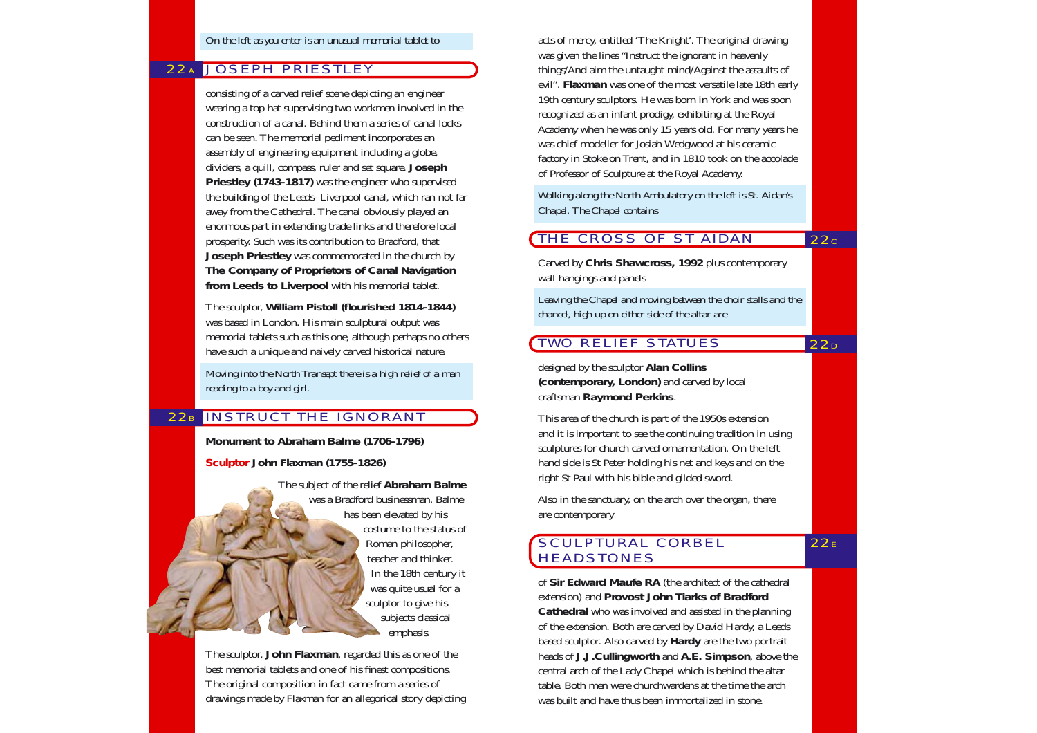# 22A JOSEPH PRIESTLEY

consisting of a carved relief scene depicting an engineer wearing a top hat supervising two workmen involved in the construction of a canal. Behind them a series of canal locks can be seen. The memorial pediment incorporates an assembly of engineering equipment including a globe, dividers, a quill, compass, ruler and set square. **Joseph Priestley (1743-1817)** was the engineer who supervised the building of the Leeds- Liverpool canal, which ran not far away from the Cathedral. The canal obviously played an enormous part in extending trade links and therefore local prosperity. Such was its contribution to Bradford, that **Joseph Priestley** was commemorated in the church by **The Company of Proprietors of Canal Navigation from Leeds to Liverpool** with his memorial tablet.

The sculptor, **William Pistoll (flourished 1814-1844)** was based in London. His main sculptural output was memorial tablets such as this one, although perhaps no others have such a unique and naively carved historical nature.

*Moving into the North Transept there is a high relief of a man reading to a boy and girl.*

### 22B IINSTRUCT THE IGNORANT

**Monument to Abraham Balme (1706-1796)**

**Sculptor John Flaxman (1755-1826)**

The subject of the relief **Abraham Balme** was a Bradford businessman. Balme has been elevated by his costume to the status of Roman philosopher, teacher and thinker. In the 18th century it was quite usual for a sculptor to give his subjects classical emphasis.

The sculptor, **John Flaxman**, regarded this as one of the best memorial tablets and one of his finest compositions. The original composition in fact came from a series of drawings made by Flaxman for an allegorical story depicting acts of mercy, entitled 'The Knight'. The original drawing was given the lines "Instruct the ignorant in heavenly things/And aim the untaught mind/Against the assaults of evil". **Flaxman** was one of the most versatile late 18th early 19th century sculptors. He was born in York and was soon recognized as an infant prodigy, exhibiting at the Royal Academy when he was only 15 years old. For many years he was chief modeller for Josiah Wedgwood at his ceramic factory in Stoke on Trent, and in 1810 took on the accolade of Professor of Sculpture at the Royal Academy.

*Walking along the North Ambulatory on the left is St. Aidan's Chapel. The Chapel contains* 

#### THE CROSS OF ST AIDAN  $22c$

Carved by **Chris Shawcross, 1992** plus contemporary wall hangings and panels

*Leaving the Chapel and moving between the choir stalls and the chancel, high up on either side of the altar are* 

 $22<sub>D</sub>$ 

 $22E$ 

### TWO RELIEF STATUES

designed by the sculptor **Alan Collins (contemporary, London)** and carved by local craftsman **Raymond Perkins**.

This area of the church is part of the 1950s extension and it is important to see the continuing tradition in using sculptures for church carved ornamentation. On the left hand side is St Peter holding his net and keys and on the right St Paul with his bible and gilded sword.

Also in the sanctuary, on the arch over the organ, there are contemporary

## SCULPTURAL CORBEL **HEADSTONES**

of **Sir Edward Maufe RA** (the architect of the cathedral extension) and **Provost John Tiarks of Bradford Cathedral** who was involved and assisted in the planning of the extension. Both are carved by David Hardy, a Leeds based sculptor. Also carved by **Hardy** are the two portrait heads of **J.J.Cullingworth** and **A.E. Simpson**, above the central arch of the Lady Chapel which is behind the altar table. Both men were churchwardens at the time the arch was built and have thus been immortalized in stone.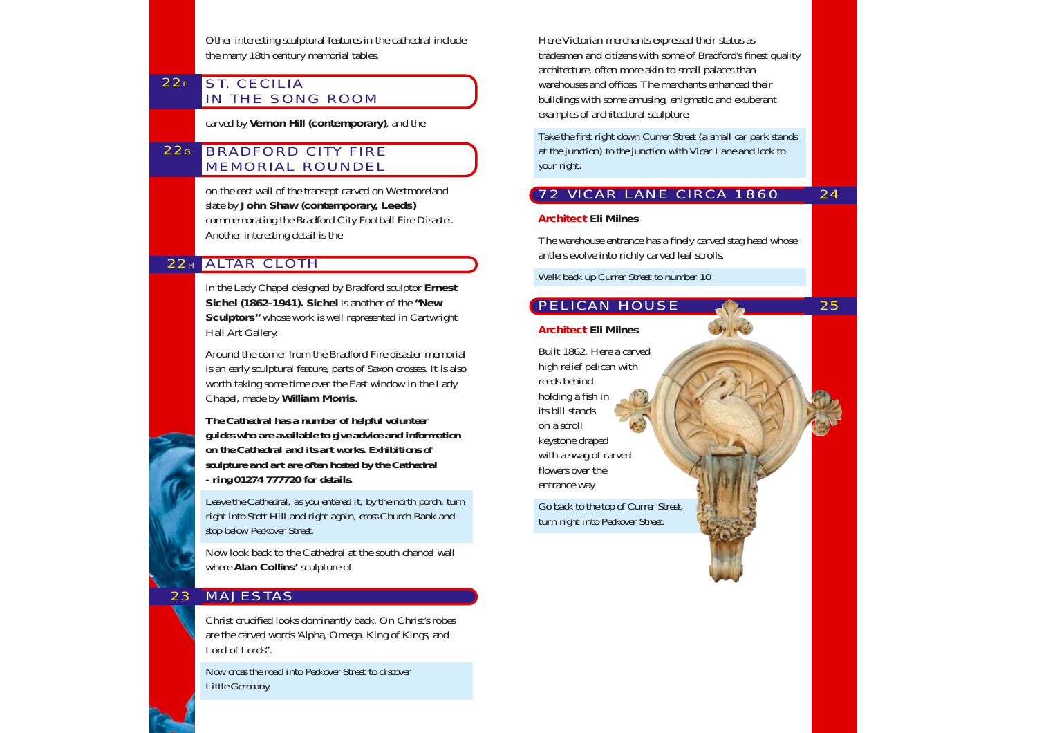Other interesting sculptural features in the cathedral include the many 18th century memorial tables.

#### $22F$ ST. CECILIA IN THE SONG ROOM

carved by **Vernon Hill (contemporary)**, and the

#### $22<sub>G</sub>$ BRADFORD CITY FIRE MEMORIAL ROUNDEL

on the east wall of the transept carved on Westmoreland slate by **John Shaw (contemporary, Leeds)** commemorating the Bradford City Football Fire Disaster. Another interesting detail is the

# 22H ALTAR CLOTH

in the Lady Chapel designed by Bradford sculptor **Ernest Sichel (1862-1941). Sichel** is another of the **"New Sculptors"** whose work is well represented in Cartwright Hall Art Gallery.

Around the corner from the Bradford Fire disaster memorial is an early sculptural feature, parts of Saxon crosses. It is also worth taking some time over the East window in the Lady Chapel, made by **William Morris**.

*The Cathedral has a number of helpful volunteer guides who are available to give advice and information on the Cathedral and its art works. Exhibitions of sculpture and art are often hosted by the Cathedral - ring 01274 777720 for details.*

*Leave the Cathedral, as you entered it, by the north porch, turn right into Stott Hill and right again, cross Church Bank and stop below Peckover Street.* 

Now look back to the Cathedral at the south chancel wall where **Alan Collins'** sculpture of

#### 23 MAJESTAS

Christ crucified looks dominantly back. On Christ's robes are the carved words 'Alpha, Omega, King of Kings, and Lord of Lords".

*Now cross the road into Peckover Street to discover Little Germany.*

Here Victorian merchants expressed their status as tradesmen and citizens with some of Bradford's finest quality architecture, often more akin to small palaces than warehouses and offices. The merchants enhanced their buildings with some amusing, enigmatic and exuberant examples of architectural sculpture.

*Take the first right down Currer Street (a small car park stands at the junction) to the junction with Vicar Lane and look to your right.*

#### 24 72 VICAR LANE CIRCA 1860

25

### **Architect Eli Milnes**

The warehouse entrance has a finely carved stag head whose antlers evolve into richly carved leaf scrolls.

*Walk back up Currer Street to number 10*

# PELICAN HOUSE

### **Architect Eli Milnes**

Built 1862. Here a carved high relief pelican with reeds behind holding a fish in its bill stands on a scroll keystone draped with a swag of carved flowers over the entrance way.

*Go back to the top of Currer Street, turn right into Peckover Street.*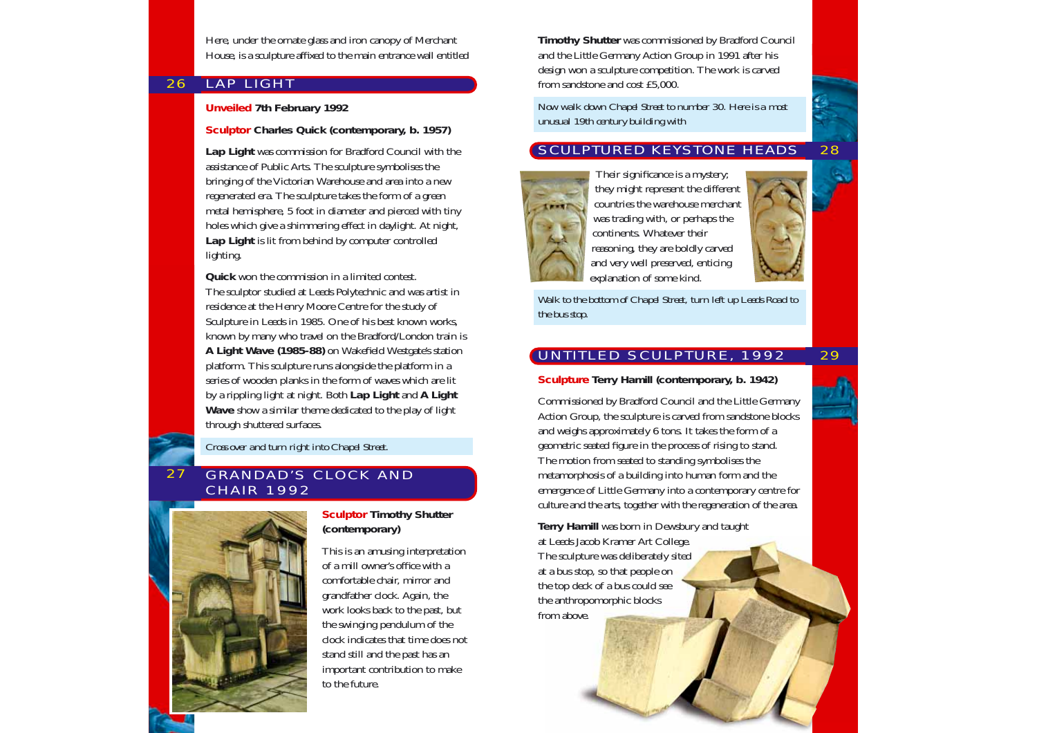Here, under the ornate glass and iron canopy of Merchant House, is a sculpture affixed to the main entrance wall entitled

#### 26 LAP LIGHT

### **Unveiled 7th February 1992**

#### **Sculptor Charles Quick (contemporary, b. 1957)**

**Lap Light** was commission for Bradford Council with the assistance of Public Arts. The sculpture symbolises the bringing of the Victorian Warehouse and area into a new regenerated era. The sculpture takes the form of a green metal hemisphere, 5 foot in diameter and pierced with tiny holes which give a shimmering effect in daylight. At night, **Lap Light** is lit from behind by computer controlled lighting.

**Quick** won the commission in a limited contest. The sculptor studied at Leeds Polytechnic and was artist in residence at the Henry Moore Centre for the study of Sculpture in Leeds in 1985. One of his best known works, known by many who travel on the Bradford/London train is **A Light Wave (1985-88)** on Wakefield Westgate's station platform. This sculpture runs alongside the platform in a series of wooden planks in the form of waves which are lit by a rippling light at night. Both **Lap Light** and **A Light Wave** show a similar theme dedicated to the play of light through shuttered surfaces.

*Cross over and turn right into Chapel Street.*

#### 27 GRANDAD'S CLOCK AND CHAIR 1992



**Sculptor Timothy Shutter (contemporary)**

This is an amusing interpretation of a mill owner's office with a comfortable chair, mirror and grandfather clock. Again, the work looks back to the past, but the swinging pendulum of the clock indicates that time does not stand still and the past has an important contribution to make to the future.

**Timothy Shutter** was commissioned by Bradford Council and the Little Germany Action Group in 1991 after his design won a sculpture competition. The work is carved from sandstone and cost £5,000.

*Now walk down Chapel Street to number 30. Here is a most unusual 19th century building with* 

#### 28 SCULPTURED KEYSTONE HEADS



they might represent the different countries the warehouse merchant was trading with, or perhaps the continents. Whatever their reasoning, they are boldly carved and very well preserved, enticing explanation of some kind.

*Walk to the bottom of Chapel Street, turn left up Leeds Road to the bus stop.*

# UNTITLED SCULPTURE, 1992

**Sculpture Terry Hamill (contemporary, b. 1942)**

Commissioned by Bradford Council and the Little Germany Action Group, the sculpture is carved from sandstone blocks and weighs approximately 6 tons. It takes the form of a geometric seated figure in the process of rising to stand. The motion from seated to standing symbolises the metamorphosis of a building into human form and the emergence of Little Germany into a contemporary centre for culture and the arts, together with the regeneration of the area.

**Terry Hamill** was born in Dewsbury and taught at Leeds Jacob Kramer Art College. The sculpture was deliberately sited at a bus stop, so that people on the top deck of a bus could see the anthropomorphic blocks from above.



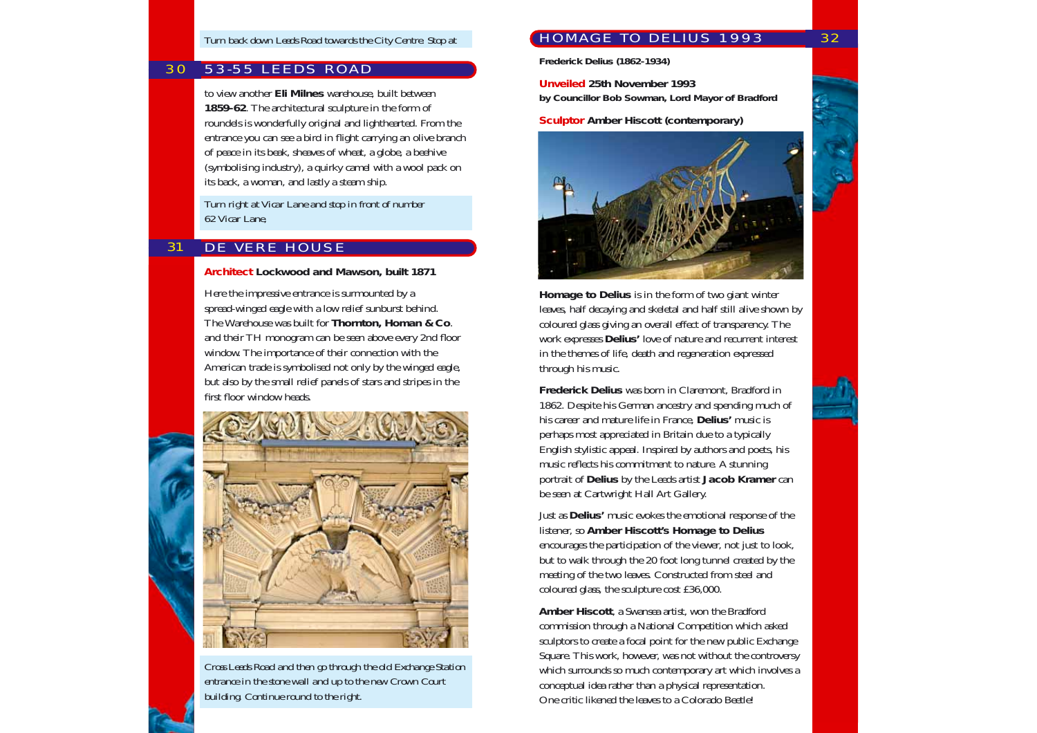#### 30 53-55 LEEDS ROAD

to view another **Eli Milnes** warehouse, built between **1859-62**. The architectural sculpture in the form of roundels is wonderfully original and lighthearted. From the entrance you can see a bird in flight carrying an olive branch of peace in its beak, sheaves of wheat, a globe, a beehive (symbolising industry), a quirky camel with a wool pack on its back, a woman, and lastly a steam ship.

*Turn right at Vicar Lane and stop in front of number 62 Vicar Lane,* 

#### 31 DE VERE HOUSE

**Architect Lockwood and Mawson, built 1871**

Here the impressive entrance is surmounted by a spread-winged eagle with a low relief sunburst behind. The Warehouse was built for **Thornton, Homan & Co**. and their TH monogram can be seen above every 2nd floor window. The importance of their connection with the American trade is symbolised not only by the winged eagle, but also by the small relief panels of stars and stripes in the first floor window heads.



*Cross Leeds Road and then go through the old Exchange Station entrance in the stone wall and up to the new Crown Court building. Continue round to the right.*

# HOMAGE TO DELIUS 1993

**Frederick Delius (1862-1934)**

**Unveiled 25th November 1993 by Councillor Bob Sowman, Lord Mayor of Bradford**

**Sculptor Amber Hiscott (contemporary)**



**Homage to Delius** is in the form of two giant winter leaves, half decaying and skeletal and half still alive shown by coloured glass giving an overall effect of transparency. The work expresses **Delius'** love of nature and recurrent interest in the themes of life, death and regeneration expressed through his music.

**Frederick Delius** was born in Claremont, Bradford in 1862. Despite his German ancestry and spending much of his career and mature life in France, **Delius'** music is perhaps most appreciated in Britain due to a typically English stylistic appeal. Inspired by authors and poets, his music reflects his commitment to nature. A stunning portrait of **Delius** by the Leeds artist **Jacob Kramer** can be seen at Cartwright Hall Art Gallery.

Just as **Delius'** music evokes the emotional response of the listener, so **Amber Hiscott's Homage to Delius** encourages the participation of the viewer, not just to look, but to walk through the 20 foot long tunnel created by the meeting of the two leaves. Constructed from steel and coloured glass, the sculpture cost £36,000.

**Amber Hiscott**, a Swansea artist, won the Bradford commission through a National Competition which asked sculptors to create a focal point for the new public Exchange Square. This work, however, was not without the controversy which surrounds so much contemporary art which involves a conceptual idea rather than a physical representation. One critic likened the leaves to a Colorado Beetle!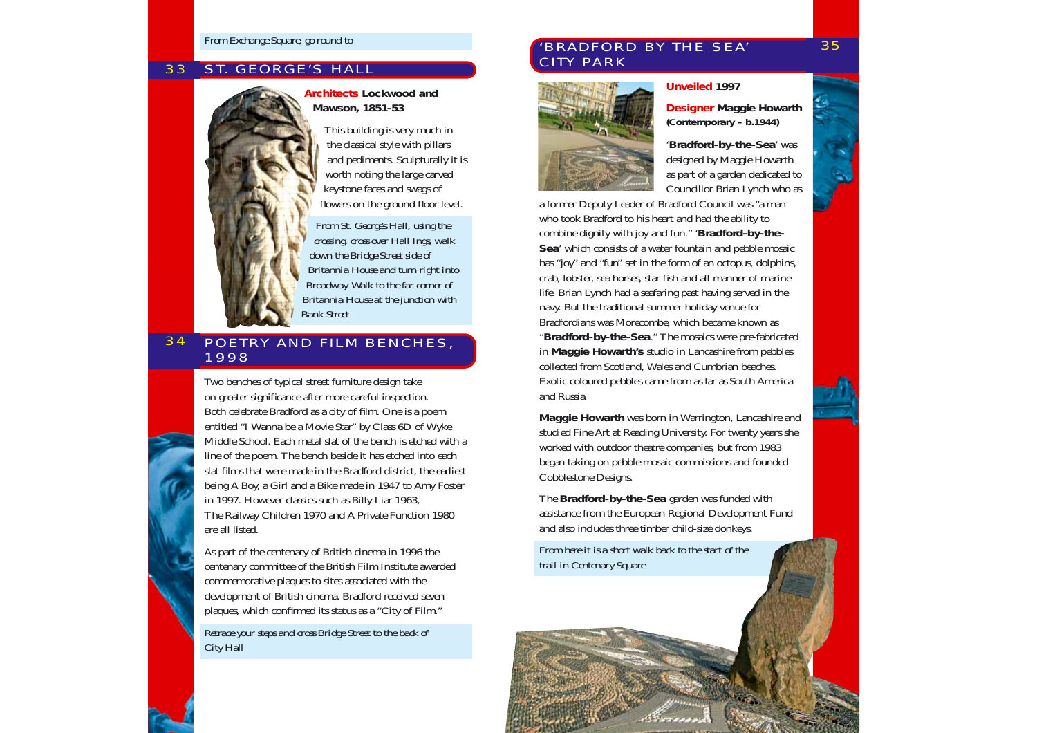#### 33 **ST. GEORGE'S HALL**



**Architects Lockwood and Mawson, 1851-53**

> This building is very much in the classical style with pillars and pediments. Sculpturally it is worth noting the large carved keystone faces and swags of flowers on the ground floor level.

*From St. George's Hall, using the crossing, cross over Hall Ings, walk down the Bridge Street side of Britannia House and turn right into Broadway. Walk to the far corner of Britannia House at the junction with Bank Street*

#### 34 POETRY AND FILM BENCHES, 1998

Two benches of typical street furniture design take on greater significance after more careful inspection. Both celebrate Bradford as a city of film. One is a poem entitled "I Wanna be a Movie Star" by Class 6D of Wyke Middle School. Each metal slat of the bench is etched with a line of the poem. The bench beside it has etched into each slat films that were made in the Bradford district, the earliest being A Boy, a Girl and a Bike made in 1947 to Amy Foster in 1997. However classics such as Billy Liar 1963, The Railway Children 1970 and A Private Function 1980 are all listed.

As part of the centenary of British cinema in 1996 the centenary committee of the British Film Institute awarded commemorative plaques to sites associated with the development of British cinema. Bradford received seven plaques, which confirmed its status as a "City of Film."

*Retrace your steps and cross Bridge Street to the back of City Hall*

### 'BRADFORD BY THE SEA' CITY PARK



### **Unveiled 1997**

**Designer Maggie Howarth (Contemporary – b.1944)**

'**Bradford-by-the-Sea**' was designed by Maggie Howarth as part of a garden dedicated to Councillor Brian Lynch who as

a former Deputy Leader of Bradford Council was "a man who took Bradford to his heart and had the ability to combine dignity with joy and fun." '**Bradford-by-the-Sea**' which consists of a water fountain and pebble mosaic has "joy" and "fun" set in the form of an octopus, dolphins, crab, lobster, sea horses, star fish and all manner of marine life. Brian Lynch had a seafaring past having served in the navy. But the traditional summer holiday venue for Bradfordians was Morecombe, which became known as "**Bradford-by-the-Sea**." The mosaics were pre-fabricated in **Maggie Howarth's** studio in Lancashire from pebbles collected from Scotland, Wales and Cumbrian beaches. Exotic coloured pebbles came from as far as South America and Russia.

**Maggie Howarth** was born in Warrington, Lancashire and studied Fine Art at Reading University. For twenty years she worked with outdoor theatre companies, but from 1983 began taking on pebble mosaic commissions and founded Cobblestone Designs.

The **Bradford-by-the-Sea** garden was funded with assistance from the European Regional Development Fund and also includes three timber child-size donkeys.

*From here it is a short walk back to the start of the trail in Centenary Square*

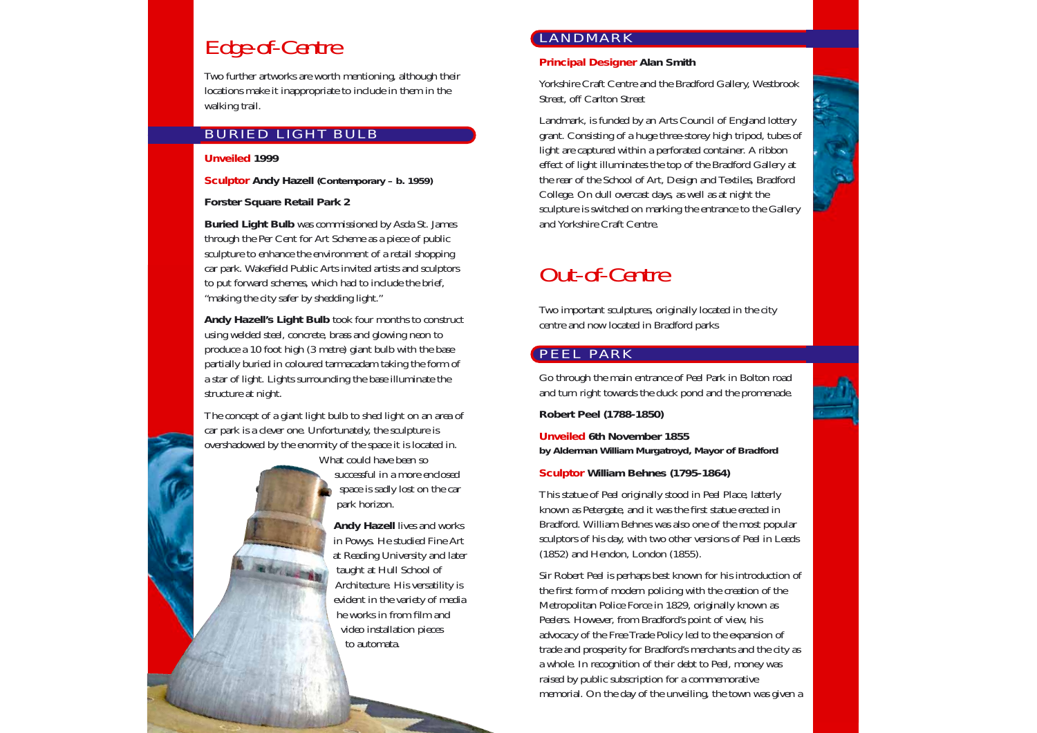# Edge-of-Centre

Two further artworks are worth mentioning, although their locations make it inappropriate to include in them in the walking trail.

# BURIED LIGHT BULB

#### **Unveiled 1999**

**Sculptor Andy Hazell (Contemporary – b. 1959)**

**Forster Square Retail Park 2**

**Buried Light Bulb** was commissioned by Asda St. James through the Per Cent for Art Scheme as a piece of public sculpture to enhance the environment of a retail shopping car park. Wakefield Public Arts invited artists and sculptors to put forward schemes, which had to include the brief, "making the city safer by shedding light."

**Andy Hazell's Light Bulb** took four months to construct using welded steel, concrete, brass and glowing neon to produce a 10 foot high (3 metre) giant bulb with the base partially buried in coloured tarmacadam taking the form of a star of light. Lights surrounding the base illuminate the structure at night.

The concept of a giant light bulb to shed light on an area of car park is a clever one. Unfortunately, the sculpture is overshadowed by the enormity of the space it is located in.

> What could have been so successful in a more enclosed space is sadly lost on the car park horizon.

**Andy Hazell** lives and works in Powys. He studied Fine Art at Reading University and later taught at Hull School of Architecture. His versatility is evident in the variety of media he works in from film and video installation pieces to automata.

# LANDMARK

**Principal Designer Alan Smith**

Yorkshire Craft Centre and the Bradford Gallery, Westbrook Street, off Carlton Street

Landmark, is funded by an Arts Council of England lottery grant. Consisting of a huge three-storey high tripod, tubes of light are captured within a perforated container. A ribbon effect of light illuminates the top of the Bradford Gallery at the rear of the School of Art, Design and Textiles, Bradford College. On dull overcast days, as well as at night the sculpture is switched on marking the entrance to the Gallery and Yorkshire Craft Centre.

# Out-of-Centre

Two important sculptures, originally located in the city centre and now located in Bradford parks

# PEEL PARK

Go through the main entrance of Peel Park in Bolton road and turn right towards the duck pond and the promenade.

**Robert Peel (1788-1850)**

**Unveiled 6th November 1855 by Alderman William Murgatroyd, Mayor of Bradford** 

**Sculptor William Behnes (1795-1864)**

This statue of Peel originally stood in Peel Place, latterly known as Petergate, and it was the first statue erected in Bradford. William Behnes was also one of the most popular sculptors of his day, with two other versions of Peel in Leeds (1852) and Hendon, London (1855).

Sir Robert Peel is perhaps best known for his introduction of the first form of modern policing with the creation of the Metropolitan Police Force in 1829, originally known as Peelers. However, from Bradford's point of view, his advocacy of the Free Trade Policy led to the expansion of trade and prosperity for Bradford's merchants and the city as a whole. In recognition of their debt to Peel, money was raised by public subscription for a commemorative memorial. On the day of the unveiling, the town was given a